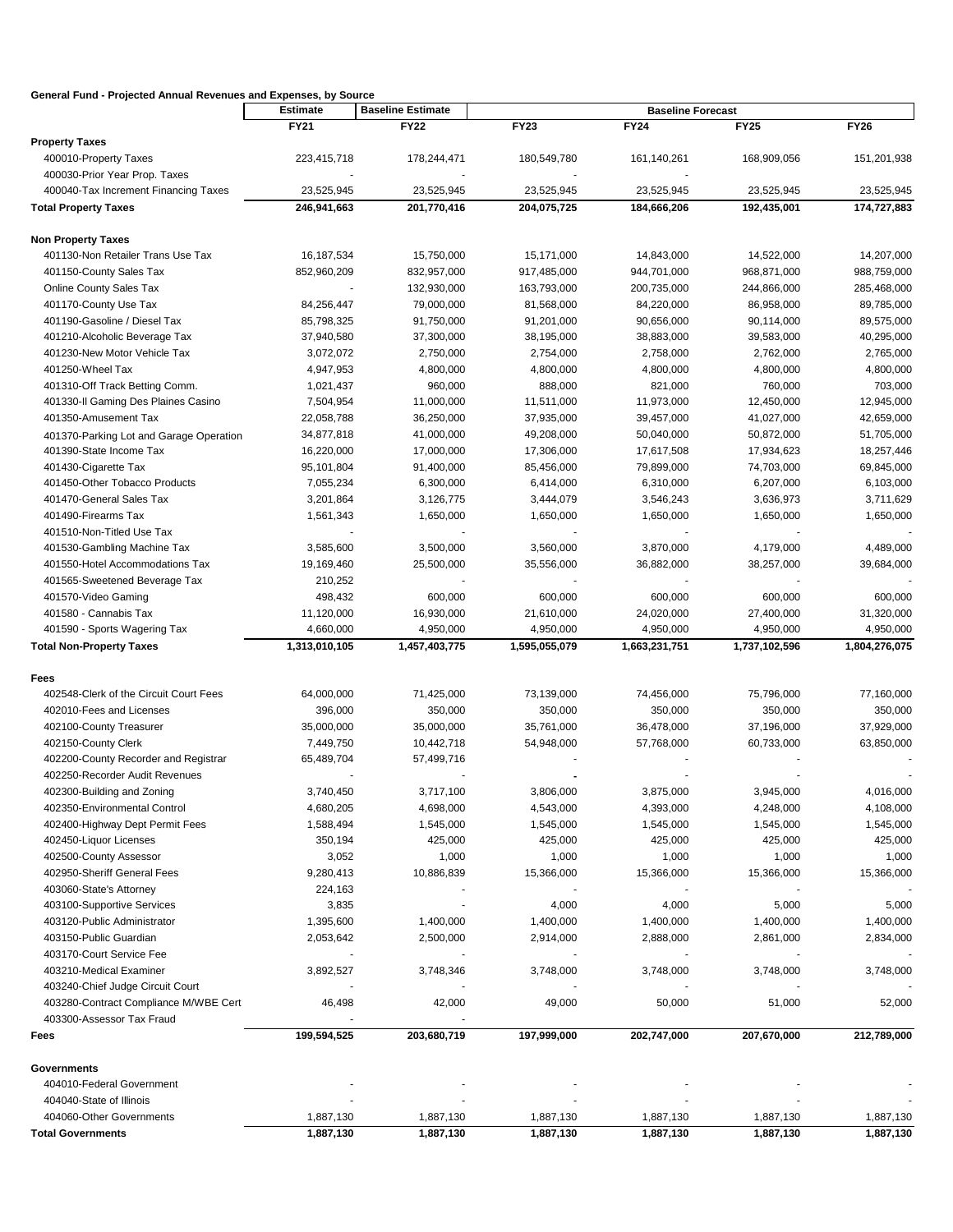| General Fund - Projected Annual Revenues and Expenses, by Source |                 |                          |                          |               |               |               |  |
|------------------------------------------------------------------|-----------------|--------------------------|--------------------------|---------------|---------------|---------------|--|
|                                                                  | <b>Estimate</b> | <b>Baseline Estimate</b> | <b>Baseline Forecast</b> |               |               |               |  |
|                                                                  | FY21            | <b>FY22</b>              | <b>FY23</b>              | <b>FY24</b>   | <b>FY25</b>   | <b>FY26</b>   |  |
| <b>Property Taxes</b>                                            |                 |                          |                          |               |               |               |  |
| 400010-Property Taxes                                            | 223,415,718     | 178,244,471              | 180,549,780              | 161,140,261   | 168,909,056   | 151,201,938   |  |
| 400030-Prior Year Prop. Taxes                                    |                 |                          |                          |               |               |               |  |
| 400040-Tax Increment Financing Taxes                             | 23,525,945      | 23,525,945               | 23,525,945               | 23,525,945    | 23,525,945    | 23,525,945    |  |
| <b>Total Property Taxes</b>                                      | 246,941,663     | 201,770,416              | 204,075,725              | 184,666,206   | 192,435,001   | 174,727,883   |  |
| <b>Non Property Taxes</b>                                        |                 |                          |                          |               |               |               |  |
| 401130-Non Retailer Trans Use Tax                                | 16,187,534      | 15,750,000               | 15,171,000               | 14,843,000    | 14,522,000    | 14,207,000    |  |
| 401150-County Sales Tax                                          | 852,960,209     | 832,957,000              | 917,485,000              | 944,701,000   | 968,871,000   | 988,759,000   |  |
| Online County Sales Tax                                          |                 | 132,930,000              | 163,793,000              | 200,735,000   | 244,866,000   | 285,468,000   |  |
| 401170-County Use Tax                                            | 84,256,447      | 79,000,000               | 81,568,000               | 84,220,000    | 86,958,000    | 89,785,000    |  |
| 401190-Gasoline / Diesel Tax                                     | 85,798,325      | 91,750,000               | 91,201,000               | 90,656,000    | 90,114,000    | 89,575,000    |  |
| 401210-Alcoholic Beverage Tax                                    | 37,940,580      | 37,300,000               | 38,195,000               | 38,883,000    | 39,583,000    | 40,295,000    |  |
| 401230-New Motor Vehicle Tax                                     |                 |                          |                          |               |               |               |  |
|                                                                  | 3,072,072       | 2,750,000                | 2,754,000                | 2,758,000     | 2,762,000     | 2,765,000     |  |
| 401250-Wheel Tax                                                 | 4,947,953       | 4,800,000                | 4,800,000                | 4,800,000     | 4,800,000     | 4,800,000     |  |
| 401310-Off Track Betting Comm.                                   | 1,021,437       | 960,000                  | 888,000                  | 821,000       | 760,000       | 703,000       |  |
| 401330-Il Gaming Des Plaines Casino                              | 7,504,954       | 11,000,000               | 11,511,000               | 11,973,000    | 12,450,000    | 12,945,000    |  |
| 401350-Amusement Tax                                             | 22,058,788      | 36,250,000               | 37,935,000               | 39,457,000    | 41,027,000    | 42,659,000    |  |
| 401370-Parking Lot and Garage Operation                          | 34,877,818      | 41,000,000               | 49,208,000               | 50,040,000    | 50,872,000    | 51,705,000    |  |
| 401390-State Income Tax                                          | 16,220,000      | 17,000,000               | 17,306,000               | 17,617,508    | 17,934,623    | 18,257,446    |  |
| 401430-Cigarette Tax                                             | 95,101,804      | 91,400,000               | 85,456,000               | 79,899,000    | 74,703,000    | 69,845,000    |  |
| 401450-Other Tobacco Products                                    | 7,055,234       | 6,300,000                | 6,414,000                | 6,310,000     | 6,207,000     | 6,103,000     |  |
| 401470-General Sales Tax                                         | 3,201,864       | 3,126,775                | 3,444,079                | 3,546,243     | 3,636,973     | 3,711,629     |  |
| 401490-Firearms Tax                                              | 1,561,343       | 1,650,000                | 1,650,000                | 1,650,000     | 1,650,000     | 1,650,000     |  |
| 401510-Non-Titled Use Tax                                        |                 |                          |                          |               |               |               |  |
| 401530-Gambling Machine Tax                                      | 3,585,600       | 3,500,000                | 3,560,000                | 3,870,000     | 4,179,000     | 4,489,000     |  |
| 401550-Hotel Accommodations Tax                                  | 19,169,460      | 25,500,000               | 35,556,000               | 36,882,000    | 38,257,000    | 39,684,000    |  |
| 401565-Sweetened Beverage Tax                                    | 210,252         |                          |                          |               |               |               |  |
| 401570-Video Gaming                                              | 498,432         | 600,000                  | 600,000                  | 600,000       | 600,000       | 600,000       |  |
| 401580 - Cannabis Tax                                            | 11,120,000      | 16,930,000               | 21,610,000               | 24,020,000    | 27,400,000    | 31,320,000    |  |
| 401590 - Sports Wagering Tax                                     | 4,660,000       | 4,950,000                | 4,950,000                | 4,950,000     | 4,950,000     | 4,950,000     |  |
| <b>Total Non-Property Taxes</b>                                  | 1,313,010,105   | 1,457,403,775            | 1,595,055,079            | 1,663,231,751 | 1,737,102,596 | 1,804,276,075 |  |
|                                                                  |                 |                          |                          |               |               |               |  |
| Fees<br>402548-Clerk of the Circuit Court Fees                   | 64,000,000      | 71,425,000               | 73,139,000               | 74,456,000    | 75,796,000    | 77,160,000    |  |
| 402010-Fees and Licenses                                         | 396,000         | 350,000                  | 350,000                  | 350,000       | 350,000       | 350,000       |  |
| 402100-County Treasurer                                          | 35,000,000      | 35,000,000               | 35,761,000               | 36,478,000    | 37,196,000    | 37,929,000    |  |
| 402150-County Clerk                                              | 7,449,750       | 10,442,718               | 54,948,000               | 57,768,000    | 60,733,000    | 63,850,000    |  |
| 402200-County Recorder and Registrar                             | 65,489,704      | 57,499,716               |                          |               |               |               |  |
| 402250-Recorder Audit Revenues                                   |                 |                          |                          |               |               |               |  |
|                                                                  |                 |                          |                          |               |               |               |  |
| 402300-Building and Zoning                                       | 3,740,450       | 3,717,100                | 3,806,000                | 3,875,000     | 3,945,000     | 4,016,000     |  |
| 402350-Environmental Control                                     | 4,680,205       | 4,698,000                | 4,543,000                | 4,393,000     | 4,248,000     | 4,108,000     |  |
| 402400-Highway Dept Permit Fees                                  | 1,588,494       | 1,545,000                | 1,545,000                | 1,545,000     | 1,545,000     | 1,545,000     |  |
| 402450-Liquor Licenses                                           | 350,194         | 425,000                  | 425,000                  | 425,000       | 425,000       | 425,000       |  |
| 402500-County Assessor                                           | 3,052           | 1,000                    | 1,000                    | 1,000         | 1,000         | 1,000         |  |
| 402950-Sheriff General Fees                                      | 9,280,413       | 10,886,839               | 15,366,000               | 15,366,000    | 15,366,000    | 15,366,000    |  |
| 403060-State's Attorney                                          | 224,163         |                          |                          |               |               |               |  |
| 403100-Supportive Services                                       | 3,835           |                          | 4,000                    | 4,000         | 5,000         | 5,000         |  |
| 403120-Public Administrator                                      | 1,395,600       | 1,400,000                | 1,400,000                | 1,400,000     | 1,400,000     | 1,400,000     |  |
| 403150-Public Guardian                                           | 2,053,642       | 2,500,000                | 2,914,000                | 2,888,000     | 2,861,000     | 2,834,000     |  |
| 403170-Court Service Fee                                         |                 |                          |                          |               |               |               |  |
| 403210-Medical Examiner                                          | 3,892,527       | 3,748,346                | 3,748,000                | 3,748,000     | 3,748,000     | 3,748,000     |  |
| 403240-Chief Judge Circuit Court                                 |                 |                          |                          |               |               |               |  |
| 403280-Contract Compliance M/WBE Cert                            | 46,498          | 42,000                   | 49,000                   | 50,000        | 51,000        | 52,000        |  |
| 403300-Assessor Tax Fraud                                        |                 |                          |                          |               |               |               |  |
| Fees                                                             | 199,594,525     | 203,680,719              | 197,999,000              | 202,747,000   | 207,670,000   | 212,789,000   |  |
| <b>Governments</b>                                               |                 |                          |                          |               |               |               |  |
| 404010-Federal Government                                        |                 |                          |                          |               |               |               |  |
| 404040-State of Illinois                                         |                 |                          |                          |               |               |               |  |
| 404060-Other Governments                                         | 1,887,130       | 1,887,130                | 1,887,130                | 1,887,130     | 1,887,130     | 1,887,130     |  |
| <b>Total Governments</b>                                         | 1,887,130       | 1,887,130                | 1,887,130                | 1,887,130     | 1,887,130     | 1,887,130     |  |